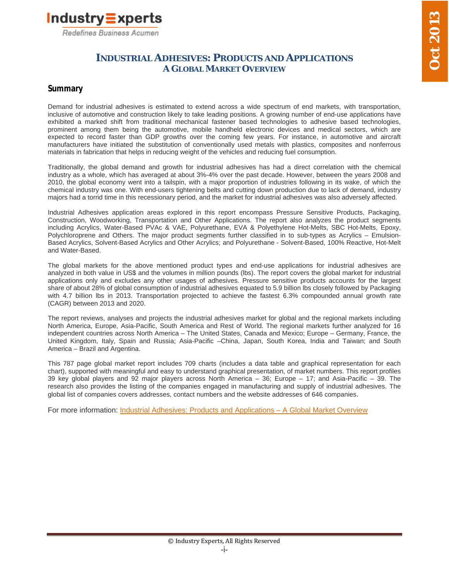

## **INDUSTRIAL ADHESIVES: PRODUCTS AND APPLICATIONS A GLOBAL MARKET OVERVIEW**

## **Summary**

Demand for industrial adhesives is estimated to extend across a wide spectrum of end markets, with transportation, inclusive of automotive and construction likely to take leading positions. A growing number of end-use applications have exhibited a marked shift from traditional mechanical fastener based technologies to adhesive based technologies, prominent among them being the automotive, mobile handheld electronic devices and medical sectors, which are expected to record faster than GDP growths over the coming few years. For instance, in automotive and aircraft manufacturers have initiated the substitution of conventionally used metals with plastics, composites and nonferrous materials in fabrication that helps in reducing weight of the vehicles and reducing fuel consumption.

Traditionally, the global demand and growth for industrial adhesives has had a direct correlation with the chemical industry as a whole, which has averaged at about 3%-4% over the past decade. However, between the years 2008 and 2010, the global economy went into a tailspin, with a major proportion of industries following in its wake, of which the chemical industry was one. With end-users tightening belts and cutting down production due to lack of demand, industry majors had a torrid time in this recessionary period, and the market for industrial adhesives was also adversely affected.

Industrial Adhesives application areas explored in this report encompass Pressure Sensitive Products, Packaging, Construction, Woodworking, Transportation and Other Applications. The report also analyzes the product segments including Acrylics, Water-Based PVAc & VAE, Polyurethane, EVA & Polyethylene Hot-Melts, SBC Hot-Melts, Epoxy, Polychloroprene and Others. The major product segments further classified in to sub-types as Acrylics – Emulsion-Based Acrylics, Solvent-Based Acrylics and Other Acrylics; and Polyurethane - Solvent-Based, 100% Reactive, Hot-Melt and Water-Based.

The global markets for the above mentioned product types and end-use applications for industrial adhesives are analyzed in both value in US\$ and the volumes in million pounds (lbs). The report covers the global market for industrial applications only and excludes any other usages of adhesives. Pressure sensitive products accounts for the largest share of about 28% of global consumption of industrial adhesives equated to 5.9 billion lbs closely followed by Packaging with 4.7 billion lbs in 2013. Transportation projected to achieve the fastest 6.3% compounded annual growth rate (CAGR) between 2013 and 2020.

The report reviews, analyses and projects the industrial adhesives market for global and the regional markets including North America, Europe, Asia-Pacific, South America and Rest of World. The regional markets further analyzed for 16 independent countries across North America – The United States, Canada and Mexico; Europe – Germany, France, the United Kingdom, Italy, Spain and Russia; Asia-Pacific –China, Japan, South Korea, India and Taiwan; and South America – Brazil and Argentina.

This 787 page global market report includes 709 charts (includes a data table and graphical representation for each chart), supported with meaningful and easy to understand graphical presentation, of market numbers. This report profiles 39 key global players and 92 major players across North America – 36; Europe – 17; and Asia-Pacific – 39. The research also provides the listing of the companies engaged in manufacturing and supply of industrial adhesives. The global list of companies covers addresses, contact numbers and the website addresses of 646 companies.

For more information: Industrial Adhesives: Products and Applications - A Global Market Overview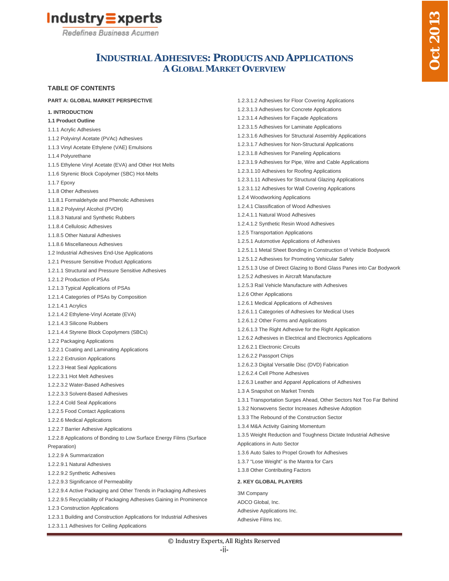



## **INDUSTRIAL ADHESIVES: PRODUCTS AND APPLICATIONS A GLOBAL MARKET OVERVIEW**

#### **TABLE OF CONTENTS**

#### **PART A: GLOBAL MARKET PERSPECTIVE 1. INTRODUCTION 1.1 Product Outline** 1.1.1 Acrylic Adhesives 1.1.2 Polyvinyl Acetate (PVAc) Adhesives 1.1.3 Vinyl Acetate Ethylene (VAE) Emulsions 1.1.4 Polyurethane 1.1.5 Ethylene Vinyl Acetate (EVA) and Other Hot Melts 1.1.6 Styrenic Block Copolymer (SBC) Hot-Melts 1.1.7 Epoxy 1.1.8 Other Adhesives 1.1.8.1 Formaldehyde and Phenolic Adhesives 1.1.8.2 Polyvinyl Alcohol (PVOH) 1.1.8.3 Natural and Synthetic Rubbers 1.1.8.4 Cellulosic Adhesives 1.1.8.5 Other Natural Adhesives 1.1.8.6 Miscellaneous Adhesives 1.2 Industrial Adhesives End-Use Applications 1.2.1 Pressure Sensitive Product Applications 1.2.1.1 Structural and Pressure Sensitive Adhesives 1.2.1.2 Production of PSAs 1.2.1.3 Typical Applications of PSAs 1.2.1.4 Categories of PSAs by Composition 1.2.1.4.1 Acrylics 1.2.1.4.2 Ethylene-Vinyl Acetate (EVA) 1.2.1.4.3 Silicone Rubbers 1.2.1.4.4 Styrene Block Copolymers (SBCs) 1.2.2 Packaging Applications 1.2.2.1 Coating and Laminating Applications 1.2.2.2 Extrusion Applications 1.2.2.3 Heat Seal Applications 1.2.2.3.1 Hot Melt Adhesives 1.2.2.3.2 Water-Based Adhesives 1.2.2.3.3 Solvent-Based Adhesives 1.2.2.4 Cold Seal Applications 1.2.2.5 Food Contact Applications 1.2.2.6 Medical Applications 1.2.2.7 Barrier Adhesive Applications 1.2.2.8 Applications of Bonding to Low Surface Energy Films (Surface Preparation) 1.2.2.9 A Summarization 1.2.2.9.1 Natural Adhesives 1.2.2.9.2 Synthetic Adhesives 1.2.2.9.3 Significance of Permeability 1.2.2.9.4 Active Packaging and Other Trends in Packaging Adhesives 1.2.2.9.5 Recyclability of Packaging Adhesives Gaining in Prominence 1.2.3 Construction Applications 1.2.3.1 Building and Construction Applications for Industrial Adhesives 1.2.3.1.1 Adhesives for Ceiling Applications 1.2.3.1.2 Adhesives for Floor Covering Applications 1.2.3.1.3 Adhesives for Concrete Applications 1.2.3.1.4 Adhesives for Façade Applications 1.2.3.1.5 Adhesives for Laminate Applications 1.2.3.1.6 Adhesives for Structural Assembly Applications 1.2.3.1.7 Adhesives for Non-Structural Applications 1.2.3.1.8 Adhesives for Paneling Applications 1.2.3.1.9 Adhesives for Pipe, Wire and Cable Applications 1.2.3.1.10 Adhesives for Roofing Applications 1.2.3.1.11 Adhesives for Structural Glazing Applications 1.2.3.1.12 Adhesives for Wall Covering Applications 1.2.4 Woodworking Applications 1.2.4.1 Classification of Wood Adhesives 1.2.4.1.1 Natural Wood Adhesives 1.2.4.1.2 Synthetic Resin Wood Adhesives 1.2.5 Transportation Applications 1.2.5.1 Automotive Applications of Adhesives 1.2.5.1.1 Metal Sheet Bonding in Construction of Vehicle Bodywork 1.2.5.1.2 Adhesives for Promoting Vehicular Safety 1.2.5.1.3 Use of Direct Glazing to Bond Glass Panes into Car Bodywork 1.2.5.2 Adhesives in Aircraft Manufacture 1.2.5.3 Rail Vehicle Manufacture with Adhesives 1.2.6 Other Applications 1.2.6.1 Medical Applications of Adhesives 1.2.6.1.1 Categories of Adhesives for Medical Uses 1.2.6.1.2 Other Forms and Applications 1.2.6.1.3 The Right Adhesive for the Right Application 1.2.6.2 Adhesives in Electrical and Electronics Applications 1.2.6.2.1 Electronic Circuits 1.2.6.2.2 Passport Chips 1.2.6.2.3 Digital Versatile Disc (DVD) Fabrication 1.2.6.2.4 Cell Phone Adhesives 1.2.6.3 Leather and Apparel Applications of Adhesives 1.3 A Snapshot on Market Trends 1.3.1 Transportation Surges Ahead, Other Sectors Not Too Far Behind 1.3.2 Nonwovens Sector Increases Adhesive Adoption 1.3.3 The Rebound of the Construction Sector 1.3.4 M&A Activity Gaining Momentum 1.3.5 Weight Reduction and Toughness Dictate Industrial Adhesive Applications in Auto Sector 1.3.6 Auto Sales to Propel Growth for Adhesives 1.3.7 "Lose Weight" is the Mantra for Cars 1.3.8 Other Contributing Factors **2. KEY GLOBAL PLAYERS** 3M Company ADCO Global, Inc. Adhesive Applications Inc. Adhesive Films Inc.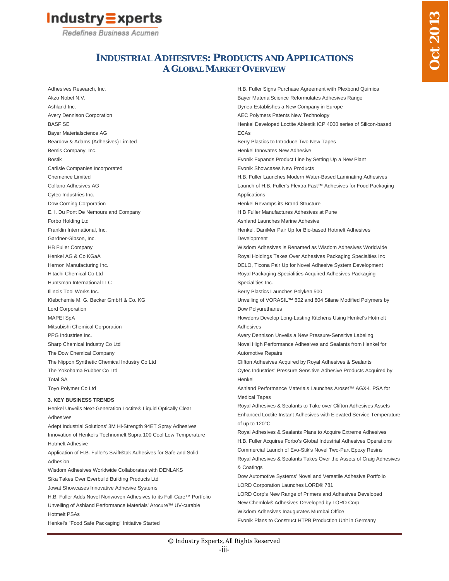

## **INDUSTRIAL ADHESIVES: PRODUCTS AND APPLICATIONS A GLOBAL MARKET OVERVIEW**

Adhesives Research, Inc. Akzo Nobel N.V. Ashland Inc. Avery Dennison Corporation BASF SE Bayer Materialscience AG Beardow & Adams (Adhesives) Limited Bemis Company, Inc. Bostik Carlisle Companies Incorporated Chemence Limited Collano Adhesives AG Cytec Industries Inc. Dow Corning Corporation E. I. Du Pont De Nemours and Company Forbo Holding Ltd Franklin International, Inc. Gardner-Gibson, Inc. HB Fuller Company Henkel AG & Co KGaA Hernon Manufacturing Inc. Hitachi Chemical Co Ltd Huntsman International LLC Illinois Tool Works Inc. Klebchemie M. G. Becker GmbH & Co. KG Lord Corporation MAPEI SpA Mitsubishi Chemical Corporation PPG Industries Inc. Sharp Chemical Industry Co Ltd The Dow Chemical Company The Nippon Synthetic Chemical Industry Co Ltd The Yokohama Rubber Co Ltd Total SA Toyo Polymer Co Ltd

#### **3. KEY BUSINESS TRENDS**

Hotmelt PSAs

Henkel Unveils Next-Generation Loctite® Liquid Optically Clear Adhesives Adept Industrial Solutions' 3M Hi-Strength 94ET Spray Adhesives

Innovation of Henkel's Technomelt Supra 100 Cool Low Temperature Hotmelt Adhesive Application of H.B. Fuller's Swift®tak Adhesives for Safe and Solid

Adhesion

Wisdom Adhesives Worldwide Collaborates with DENLAKS Sika Takes Over Everbuild Building Products Ltd Jowat Showcases Innovative Adhesive Systems H.B. Fuller Adds Novel Nonwoven Adhesives to its Full-Care™ Portfolio Unveiling of Ashland Performance Materials' Arocure™ UV-curable

Henkel's "Food Safe Packaging" Initiative Started

H.B. Fuller Signs Purchase Agreement with Plexbond Quimica Bayer MaterialScience Reformulates Adhesives Range Dynea Establishes a New Company in Europe AEC Polymers Patents New Technology Henkel Developed Loctite Ablestik ICP 4000 series of Silicon-based ECAs Berry Plastics to Introduce Two New Tapes Henkel Innovates New Adhesive Evonik Expands Product Line by Setting Up a New Plant Evonik Showcases New Products H.B. Fuller Launches Modern Water-Based Laminating Adhesives Launch of H.B. Fuller's Flextra Fast™ Adhesives for Food Packaging **Applications** Henkel Revamps its Brand Structure H B Fuller Manufactures Adhesives at Pune Ashland Launches Marine Adhesive Henkel, DaniMer Pair Up for Bio-based Hotmelt Adhesives Development Wisdom Adhesives is Renamed as Wisdom Adhesives Worldwide Royal Holdings Takes Over Adhesives Packaging Specialties Inc DELO, Ticona Pair Up for Novel Adhesive System Development Royal Packaging Specialities Acquired Adhesives Packaging Specialities Inc. Berry Plastics Launches Polyken 500 Unveiling of VORASIL™ 602 and 604 Silane Modified Polymers by Dow Polyurethanes Howdens Develop Long-Lasting Kitchens Using Henkel's Hotmelt Adhesives Avery Dennison Unveils a New Pressure-Sensitive Labeling Novel High Performance Adhesives and Sealants from Henkel for Automotive Repairs Clifton Adhesives Acquired by Royal Adhesives & Sealants Cytec Industries' Pressure Sensitive Adhesive Products Acquired by Henkel Ashland Performance Materials Launches Aroset™ AGX-L PSA for Medical Tapes Royal Adhesives & Sealants to Take over Clifton Adhesives Assets Enhanced Loctite Instant Adhesives with Elevated Service Temperature of up to 120°C Royal Adhesives & Sealants Plans to Acquire Extreme Adhesives H.B. Fuller Acquires Forbo's Global Industrial Adhesives Operations Commercial Launch of Evo-Stik's Novel Two-Part Epoxy Resins Royal Adhesives & Sealants Takes Over the Assets of Craig Adhesives & Coatings Dow Automotive Systems' Novel and Versatile Adhesive Portfolio LORD Corporation Launches LORD® 781 LORD Corp's New Range of Primers and Adhesives Developed New Chemlok® Adhesives Developed by LORD Corp Wisdom Adhesives Inaugurates Mumbai Office Evonik Plans to Construct HTPB Production Unit in Germany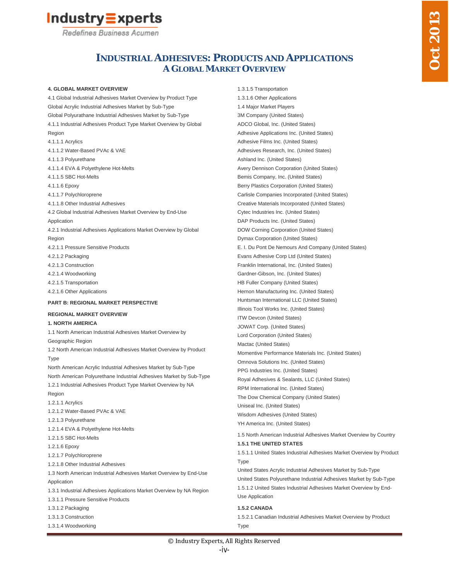

## **INDUSTRIAL ADHESIVES: PRODUCTS AND APPLICATIONS A GLOBAL MARKET OVERVIEW**

#### **4. GLOBAL MARKET OVERVIEW**

4.1 Global Industrial Adhesives Market Overview by Product Type Global Acrylic Industrial Adhesives Market by Sub-Type Global Polyurathane Industrial Adhesives Market by Sub-Type 4.1.1 Industrial Adhesives Product Type Market Overview by Global Region 4.1.1.1 Acrylics 4.1.1.2 Water-Based PVAc & VAE 4.1.1.3 Polyurethane 4.1.1.4 EVA & Polyethylene Hot-Melts 4.1.1.5 SBC Hot-Melts 4.1.1.6 Epoxy 4.1.1.7 Polychloroprene 4.1.1.8 Other Industrial Adhesives 4.2 Global Industrial Adhesives Market Overview by End-Use **Application** 4.2.1 Industrial Adhesives Applications Market Overview by Global Region 4.2.1.1 Pressure Sensitive Products 4.2.1.2 Packaging 4.2.1.3 Construction 4.2.1.4 Woodworking 4.2.1.5 Transportation 4.2.1.6 Other Applications **PART B: REGIONAL MARKET PERSPECTIVE REGIONAL MARKET OVERVIEW 1. NORTH AMERICA** 1.1 North American Industrial Adhesives Market Overview by Geographic Region 1.2 North American Industrial Adhesives Market Overview by Product **Type** North American Acrylic Industrial Adhesives Market by Sub-Type North American Polyurethane Industrial Adhesives Market by Sub-Type 1.2.1 Industrial Adhesives Product Type Market Overview by NA Region 1.2.1.1 Acrylics 1.2.1.2 Water-Based PVAc & VAE 1.2.1.3 Polyurethane 1.2.1.4 EVA & Polyethylene Hot-Melts 1.2.1.5 SBC Hot-Melts 1.2.1.6 Epoxy 1.2.1.7 Polychloroprene 1.2.1.8 Other Industrial Adhesives 1.3 North American Industrial Adhesives Market Overview by End-Use Application 1.3.1 Industrial Adhesives Applications Market Overview by NA Region

1.3.1.1 Pressure Sensitive Products

- 1.3.1.2 Packaging
- 1.3.1.3 Construction
- 1.3.1.4 Woodworking

1.3.1.5 Transportation 1.3.1.6 Other Applications 1.4 Major Market Players 3M Company (United States) ADCO Global, Inc. (United States) Adhesive Applications Inc. (United States) Adhesive Films Inc. (United States) Adhesives Research, Inc. (United States) Ashland Inc. (United States) Avery Dennison Corporation (United States) Bemis Company, Inc. (United States) Berry Plastics Corporation (United States) Carlisle Companies Incorporated (United States) Creative Materials Incorporated (United States) Cytec Industries Inc. (United States) DAP Products Inc. (United States) DOW Corning Corporation (United States) Dymax Corporation (United States) E. I. Du Pont De Nemours And Company (United States) Evans Adhesive Corp Ltd (United States) Franklin International, Inc. (United States) Gardner-Gibson, Inc. (United States) HB Fuller Company (United States) Hernon Manufacturing Inc. (United States) Huntsman International LLC (United States) Illinois Tool Works Inc. (United States) ITW Devcon (United States) JOWAT Corp. (United States) Lord Corporation (United States) Mactac (United States) Momentive Performance Materials Inc. (United States) Omnova Solutions Inc. (United States) PPG Industries Inc. (United States) Royal Adhesives & Sealants, LLC (United States) RPM International Inc. (United States) The Dow Chemical Company (United States) Uniseal Inc. (United States) Wisdom Adhesives (United States) YH America Inc. (United States)

#### 1.5 North American Industrial Adhesives Market Overview by Country **1.5.1 THE UNITED STATES**

1.5.1.1 United States Industrial Adhesives Market Overview by Product Type

United States Acrylic Industrial Adhesives Market by Sub-Type United States Polyurethane Industrial Adhesives Market by Sub-Type 1.5.1.2 United States Industrial Adhesives Market Overview by End-Use Application

#### **1.5.2 CANADA**

1.5.2.1 Canadian Industrial Adhesives Market Overview by Product Type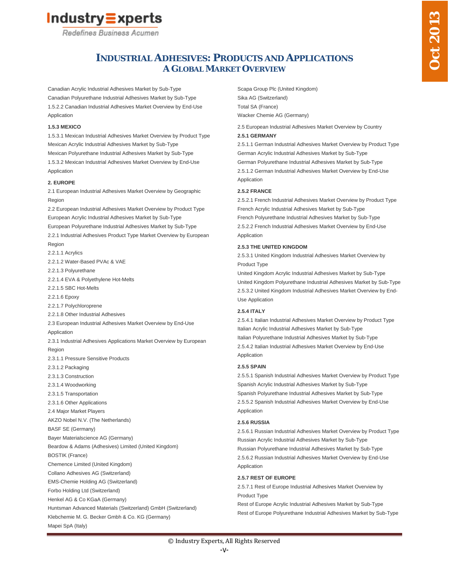

## **INDUSTRIAL ADHESIVES: PRODUCTS AND APPLICATIONS A GLOBAL MARKET OVERVIEW**

Canadian Acrylic Industrial Adhesives Market by Sub-Type Canadian Polyurethane Industrial Adhesives Market by Sub-Type 1.5.2.2 Canadian Industrial Adhesives Market Overview by End-Use Application

#### **1.5.3 MEXICO**

1.5.3.1 Mexican Industrial Adhesives Market Overview by Product Type Mexican Acrylic Industrial Adhesives Market by Sub-Type Mexican Polyurethane Industrial Adhesives Market by Sub-Type 1.5.3.2 Mexican Industrial Adhesives Market Overview by End-Use Application

#### **2. EUROPE**

2.1 European Industrial Adhesives Market Overview by Geographic Region

2.2 European Industrial Adhesives Market Overview by Product Type European Acrylic Industrial Adhesives Market by Sub-Type European Polyurethane Industrial Adhesives Market by Sub-Type 2.2.1 Industrial Adhesives Product Type Market Overview by European Region 2.2.1.1 Acrylics 2.2.1.2 Water-Based PVAc & VAE 2.2.1.3 Polyurethane 2.2.1.4 EVA & Polyethylene Hot-Melts 2.2.1.5 SBC Hot-Melts 2.2.1.6 Epoxy 2.2.1.7 Polychloroprene 2.2.1.8 Other Industrial Adhesives 2.3 European Industrial Adhesives Market Overview by End-Use Application 2.3.1 Industrial Adhesives Applications Market Overview by European Region 2.3.1.1 Pressure Sensitive Products 2.3.1.2 Packaging 2.3.1.3 Construction 2.3.1.4 Woodworking 2.3.1.5 Transportation 2.3.1.6 Other Applications 2.4 Major Market Players

AKZO Nobel N.V. (The Netherlands)

BASF SE (Germany)

Bayer Materialscience AG (Germany)

Beardow & Adams (Adhesives) Limited (United Kingdom)

BOSTIK (France)

Chemence Limited (United Kingdom) Collano Adhesives AG (Switzerland)

EMS-Chemie Holding AG (Switzerland)

Forbo Holding Ltd (Switzerland)

Henkel AG & Co KGaA (Germany)

Huntsman Advanced Materials (Switzerland) GmbH (Switzerland)

Klebchemie M. G. Becker Gmbh & Co. KG (Germany)

Mapei SpA (Italy)

Scapa Group Plc (United Kingdom) Sika AG (Switzerland) Total SA (France) Wacker Chemie AG (Germany)

2.5 European Industrial Adhesives Market Overview by Country

#### **2.5.1 GERMANY**

2.5.1.1 German Industrial Adhesives Market Overview by Product Type German Acrylic Industrial Adhesives Market by Sub-Type German Polyurethane Industrial Adhesives Market by Sub-Type 2.5.1.2 German Industrial Adhesives Market Overview by End-Use Application

#### **2.5.2 FRANCE**

2.5.2.1 French Industrial Adhesives Market Overview by Product Type French Acrylic Industrial Adhesives Market by Sub-Type French Polyurethane Industrial Adhesives Market by Sub-Type 2.5.2.2 French Industrial Adhesives Market Overview by End-Use Application

#### **2.5.3 THE UNITED KINGDOM**

2.5.3.1 United Kingdom Industrial Adhesives Market Overview by Product Type

United Kingdom Acrylic Industrial Adhesives Market by Sub-Type United Kingdom Polyurethane Industrial Adhesives Market by Sub-Type 2.5.3.2 United Kingdom Industrial Adhesives Market Overview by End-Use Application

#### **2.5.4 ITALY**

2.5.4.1 Italian Industrial Adhesives Market Overview by Product Type Italian Acrylic Industrial Adhesives Market by Sub-Type Italian Polyurethane Industrial Adhesives Market by Sub-Type 2.5.4.2 Italian Industrial Adhesives Market Overview by End-Use Application

#### **2.5.5 SPAIN**

2.5.5.1 Spanish Industrial Adhesives Market Overview by Product Type Spanish Acrylic Industrial Adhesives Market by Sub-Type Spanish Polyurethane Industrial Adhesives Market by Sub-Type 2.5.5.2 Spanish Industrial Adhesives Market Overview by End-Use Application

#### **2.5.6 RUSSIA**

2.5.6.1 Russian Industrial Adhesives Market Overview by Product Type Russian Acrylic Industrial Adhesives Market by Sub-Type Russian Polyurethane Industrial Adhesives Market by Sub-Type 2.5.6.2 Russian Industrial Adhesives Market Overview by End-Use Application

#### **2.5.7 REST OF EUROPE**

2.5.7.1 Rest of Europe Industrial Adhesives Market Overview by Product Type

Rest of Europe Acrylic Industrial Adhesives Market by Sub-Type Rest of Europe Polyurethane Industrial Adhesives Market by Sub-Type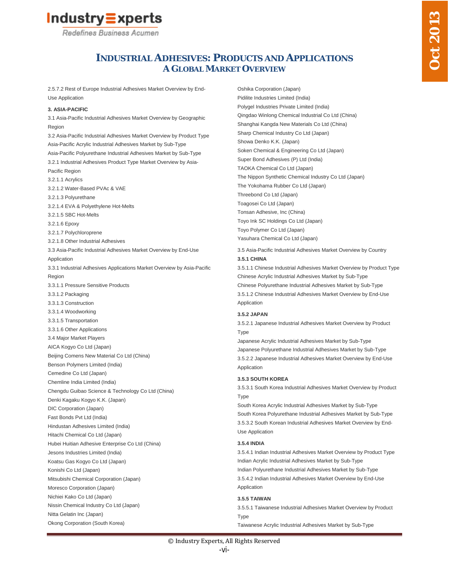

## **INDUSTRIAL ADHESIVES: PRODUCTS AND APPLICATIONS A GLOBAL MARKET OVERVIEW**

2.5.7.2 Rest of Europe Industrial Adhesives Market Overview by End-Use Application

#### **3. ASIA-PACIFIC**

3.1 Asia-Pacific Industrial Adhesives Market Overview by Geographic Region 3.2 Asia-Pacific Industrial Adhesives Market Overview by Product Type Asia-Pacific Acrylic Industrial Adhesives Market by Sub-Type Asia-Pacific Polyurethane Industrial Adhesives Market by Sub-Type 3.2.1 Industrial Adhesives Product Type Market Overview by Asia-Pacific Region 3.2.1.1 Acrylics 3.2.1.2 Water-Based PVAc & VAE 3.2.1.3 Polyurethane 3.2.1.4 EVA & Polyethylene Hot-Melts 3.2.1.5 SBC Hot-Melts 3.2.1.6 Epoxy 3.2.1.7 Polychloroprene 3.2.1.8 Other Industrial Adhesives 3.3 Asia-Pacific Industrial Adhesives Market Overview by End-Use Application 3.3.1 Industrial Adhesives Applications Market Overview by Asia-Pacific Region 3.3.1.1 Pressure Sensitive Products 3.3.1.2 Packaging 3.3.1.3 Construction 3.3.1.4 Woodworking 3.3.1.5 Transportation 3.3.1.6 Other Applications 3.4 Major Market Players AICA Kogyo Co Ltd (Japan) Beijing Comens New Material Co Ltd (China) Benson Polymers Limited (India) Cemedine Co Ltd (Japan) Chemline India Limited (India) Chengdu Guibao Science & Technology Co Ltd (China) Denki Kagaku Kogyo K.K. (Japan) DIC Corporation (Japan) Fast Bonds Pvt Ltd (India) Hindustan Adhesives Limited (India) Hitachi Chemical Co Ltd (Japan) Hubei Huitian Adhesive Enterprise Co Ltd (China) Jesons Industries Limited (India) Koatsu Gas Kogyo Co Ltd (Japan) Konishi Co Ltd (Japan) Mitsubishi Chemical Corporation (Japan) Moresco Corporation (Japan) Nichiei Kako Co Ltd (Japan) Nissin Chemical Industry Co Ltd (Japan) Nitta Gelatin Inc (Japan) Okong Corporation (South Korea)

Oshika Corporation (Japan) Pidilite Industries Limited (India) Polygel Industries Private Limited (India) Qingdao Winlong Chemical Industrial Co Ltd (China) Shanghai Kangda New Materials Co Ltd (China) Sharp Chemical Industry Co Ltd (Japan) Showa Denko K.K. (Japan) Soken Chemical & Engineering Co Ltd (Japan) Super Bond Adhesives (P) Ltd (India) TAOKA Chemical Co Ltd (Japan) The Nippon Synthetic Chemical Industry Co Ltd (Japan) The Yokohama Rubber Co Ltd (Japan) Threebond Co Ltd (Japan) Toagosei Co Ltd (Japan) Tonsan Adhesive, Inc (China) Toyo Ink SC Holdings Co Ltd (Japan) Toyo Polymer Co Ltd (Japan) Yasuhara Chemical Co Ltd (Japan)

3.5 Asia-Pacific Industrial Adhesives Market Overview by Country **3.5.1 CHINA**

3.5.1.1 Chinese Industrial Adhesives Market Overview by Product Type Chinese Acrylic Industrial Adhesives Market by Sub-Type Chinese Polyurethane Industrial Adhesives Market by Sub-Type 3.5.1.2 Chinese Industrial Adhesives Market Overview by End-Use Application

#### **3.5.2 JAPAN**

3.5.2.1 Japanese Industrial Adhesives Market Overview by Product Type

Japanese Acrylic Industrial Adhesives Market by Sub-Type Japanese Polyurethane Industrial Adhesives Market by Sub-Type 3.5.2.2 Japanese Industrial Adhesives Market Overview by End-Use Application

#### **3.5.3 SOUTH KOREA**

3.5.3.1 South Korea Industrial Adhesives Market Overview by Product Type

South Korea Acrylic Industrial Adhesives Market by Sub-Type South Korea Polyurethane Industrial Adhesives Market by Sub-Type 3.5.3.2 South Korean Industrial Adhesives Market Overview by End-Use Application

#### **3.5.4 INDIA**

3.5.4.1 Indian Industrial Adhesives Market Overview by Product Type Indian Acrylic Industrial Adhesives Market by Sub-Type Indian Polyurethane Industrial Adhesives Market by Sub-Type 3.5.4.2 Indian Industrial Adhesives Market Overview by End-Use Application

#### **3.5.5 TAIWAN**

3.5.5.1 Taiwanese Industrial Adhesives Market Overview by Product Type

Taiwanese Acrylic Industrial Adhesives Market by Sub-Type